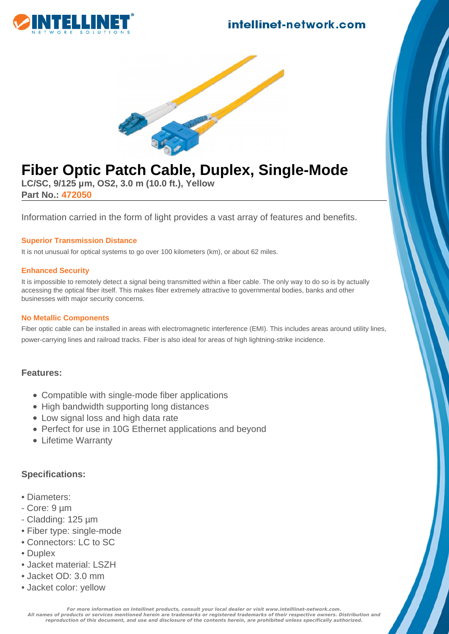### intellinet-network.com





# **Fiber Optic Patch Cable, Duplex, Single-Mode**

**LC/SC, 9/125 µm, OS2, 3.0 m (10.0 ft.), Yellow Part No.: 472050**

Information carried in the form of light provides a vast array of features and benefits.

#### **Superior Transmission Distance**

It is not unusual for optical systems to go over 100 kilometers (km), or about 62 miles.

#### **Enhanced Security**

It is impossible to remotely detect a signal being transmitted within a fiber cable. The only way to do so is by actually accessing the optical fiber itself. This makes fiber extremely attractive to governmental bodies, banks and other businesses with major security concerns.

#### **No Metallic Components**

Fiber optic cable can be installed in areas with electromagnetic interference (EMI). This includes areas around utility lines, power-carrying lines and railroad tracks. Fiber is also ideal for areas of high lightning-strike incidence.

#### **Features:**

- Compatible with single-mode fiber applications
- High bandwidth supporting long distances
- Low signal loss and high data rate
- Perfect for use in 10G Ethernet applications and beyond
- Lifetime Warranty

#### **Specifications:**

- Diameters:
- Core: 9 µm
- Cladding: 125 µm
- Fiber type: single-mode
- Connectors: LC to SC
- Duplex
- Jacket material: LSZH
- Jacket OD: 3.0 mm
- Jacket color: yellow